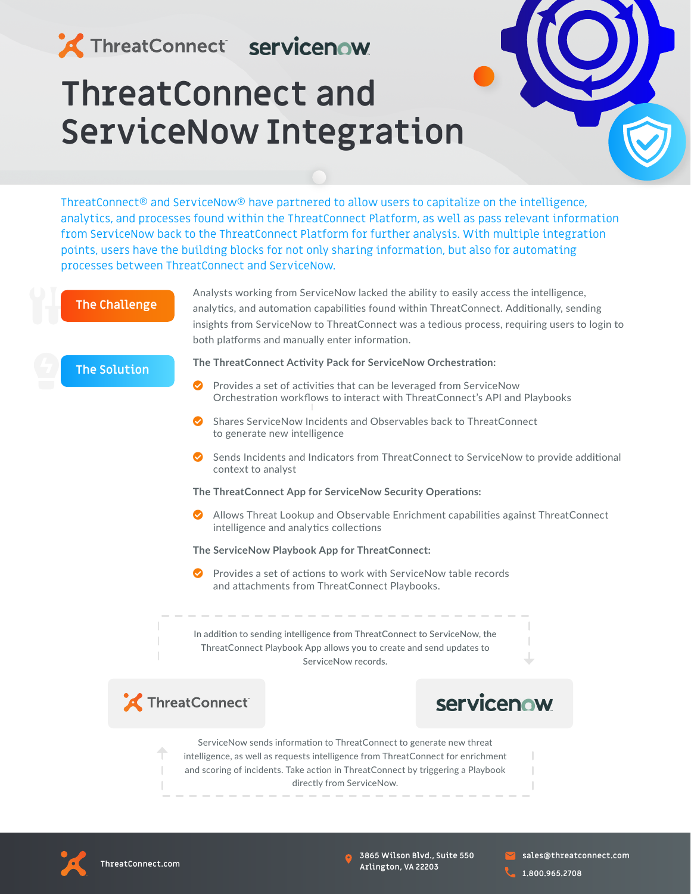## ThreatConnect servicenow

# **ThreatConnect and ServiceNow Integration**

ThreatConnect® and ServiceNow® have partnered to allow users to capitalize on the intelligence, analytics, and processes found within the ThreatConnect Platform, as well as pass relevant information from ServiceNow back to the ThreatConnect Platform for further analysis. With multiple integration points, users have the building blocks for not only sharing information, but also for automating processes between ThreatConnect and ServiceNow.

#### **The Challenge**

Analysts working from ServiceNow lacked the ability to easily access the intelligence, analytics, and automation capabilities found within ThreatConnect. Additionally, sending insights from ServiceNow to ThreatConnect was a tedious process, requiring users to login to both platforms and manually enter information.

#### **The Solution**

#### **The ThreatConnect Activity Pack for ServiceNow Orchestration:**

- Provides a set of activities that can be leveraged from ServiceNow Orchestration workflows to interact with ThreatConnect's API and Playbooks
- Shares ServiceNow Incidents and Observables back to ThreatConnect to generate new intelligence
- ◆ Sends Incidents and Indicators from ThreatConnect to ServiceNow to provide additional context to analyst

#### **The ThreatConnect App for ServiceNow Security Operations:**

 Allows Threat Lookup and Observable Enrichment capabilities against ThreatConnect intelligence and analytics collections

#### **The ServiceNow Playbook App for ThreatConnect:**

 Provides a set of actions to work with ServiceNow table records and attachments from ThreatConnect Playbooks.

In addition to sending intelligence from ThreatConnect to ServiceNow, the ThreatConnect Playbook App allows you to create and send updates to ServiceNow records.



### servicenow

ServiceNow sends information to ThreatConnect to generate new threat intelligence, as well as requests intelligence from ThreatConnect for enrichment and scoring of incidents. Take action in ThreatConnect by triggering a Playbook directly from ServiceNow.



**3865 Wilson Blvd., Suite 550 Arlington, VA 22203**

**sales@threatconnect.com**